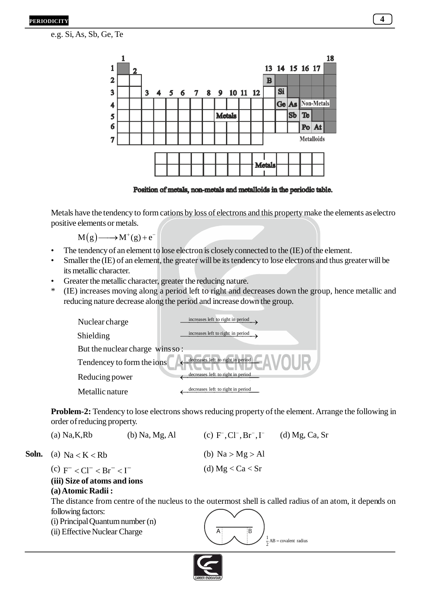e.g. Si, As, Sb, Ge, Te



Position of metals, non-metals and metalloids in the periodic table.

Metals have the tendency to form cations by loss of electrons and this property make the elements as electro positive elements or metals.

 $M(g) \longrightarrow M^+(g) + e^-$ 

- The tendency of an element to lose electron is closely connected to the (IE) of the element.
- Smaller the (IE) of an element, the greater will be its tendency to lose electrons and thus greater will be its metallic character.
- Greater the metallic character, greater the reducing nature.
- \* (IE) increases moving along a period left to right and decreases down the group, hence metallic and reducing nature decrease along the period and increase down the group.

| Nuclear charge                 | increases left to right in period |  |  |  |  |  |
|--------------------------------|-----------------------------------|--|--|--|--|--|
| Shielding                      | increases left to right in period |  |  |  |  |  |
| But the nuclear charge winsso: |                                   |  |  |  |  |  |
| Tendencey to form the ions     | decreases left to right in period |  |  |  |  |  |
| Reducing power                 | decreases left to right in period |  |  |  |  |  |
| Metallic nature                | decreases left to right in period |  |  |  |  |  |

**Problem-2:** Tendency to lose electrons shows reducing property of the element. Arrange the following in order of reducing property.

|  | $(a)$ Na, K, Rb                                                                                         | $(b)$ Na, Mg, Al | (c) $F^{\dagger}$ , $Cl^{\dagger}$ , $Br^{\dagger}$ , $I^{\dagger}$ (d) Mg, Ca, Sr |  |
|--|---------------------------------------------------------------------------------------------------------|------------------|------------------------------------------------------------------------------------|--|
|  | <b>Soln.</b> (a) $Na < K < Rb$<br>(c) $F^{-} < Cl^{-} < Br^{-} < I^{-}$<br>(iii) Size of atoms and ions |                  | (b) $Na > Mg > Al$                                                                 |  |
|  |                                                                                                         |                  | (d) $Mg < Ca < Sr$                                                                 |  |
|  | (a) Atomic Radii:                                                                                       |                  |                                                                                    |  |

The distance from centre of the nucleus to the outermost shell is called radius of an atom, it depends on following factors:

A B

 $\frac{1}{2}$ AB = covalent radius

- (i) Principal Quantum number (n)
- (ii) Effective Nuclear Charge